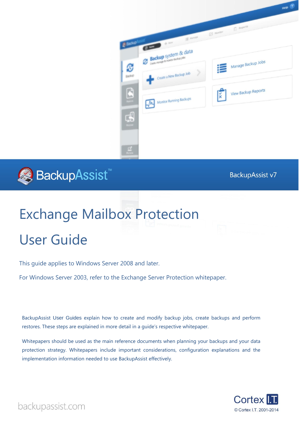$HeIP$  ?



# BackupAssist

**BackupAssist v7** 

# Exchange Mailbox Protection

# User Guide

This guide applies to Windows Server 2008 and later.

For Windows Server 2003, refer to the Exchange Server Protection whitepaper.

BackupAssist User Guides explain how to create and modify backup jobs, create backups and perform restores. These steps are explained in more detail in a guide's respective whitepaper.

Whitepapers should be used as the main reference documents when planning your backups and your data protection strategy. Whitepapers include important considerations, configuration explanations and the implementation information needed to use BackupAssist effectively.



backupassist.com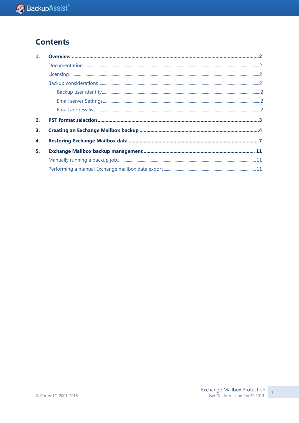### **Contents**

| 1. |  |
|----|--|
|    |  |
|    |  |
|    |  |
|    |  |
|    |  |
|    |  |
| 2. |  |
| 3. |  |
| 4. |  |
| 5. |  |
|    |  |
|    |  |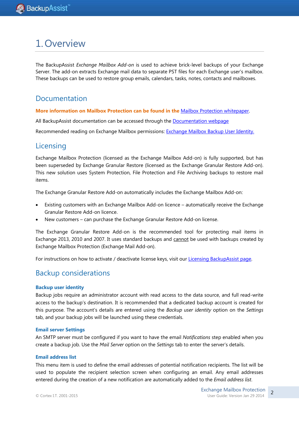## 1.Overview

The BackupAssist *Exchange Mailbox Add-on* is used to achieve brick-level backups of your Exchange Server. The add-on extracts Exchange mail data to separate PST files for each Exchange user's mailbox. These backups can be used to restore group emails, calendars, tasks, notes, contacts and mailboxes.

### Documentation

**More information on Mailbox Protection can be found in the** [Mailbox Protection whitepaper.](http://www.backupassist.com/downloads/whitepapers/system_protection_whitepaper.pdf)

All BackupAssist documentation can be accessed through the [Documentation webpage](http://www.backupassist.com/education/#backupassist_v7)

Recommended reading on Exchange Mailbox permissions: [Exchange Mailbox Backup User Identity.](http://www.backupassist.com/education/resources/exchange_mailbox_user_identity.html)

### **Licensing**

Exchange Mailbox Protection (licensed as the Exchange Mailbox Add-on) is fully supported, but has been superseded by Exchange Granular Restore (licensed as the Exchange Granular Restore Add-on). This new solution uses System Protection, File Protection and File Archiving backups to restore mail items.

The Exchange Granular Restore Add-on automatically includes the Exchange Mailbox Add-on:

- Existing customers with an Exchange Mailbox Add-on licence automatically receive the Exchange Granular Restore Add-on licence.
- New customers can purchase the Exchange Granular Restore Add-on license.

The Exchange Granular Restore Add-on is the recommended tool for protecting mail items in Exchange 2013, 2010 and 2007. It uses standard backups and cannot be used with backups created by Exchange Mailbox Protection (Exchange Mail Add-on).

For instructions on how to activate / deactivate license keys, visit our [Licensing BackupAssist page.](http://www.backupassist.com/education/whitepapers/licensing_backupassist.html)

### Backup considerations

### **Backup user identity**

Backup jobs require an administrator account with read access to the data source, and full read-write access to the backup's destination. It is recommended that a dedicated backup account is created for this purpose. The account's details are entered using the *Backup user identity* option on the *Settings* tab, and your backup jobs will be launched using these credentials.

### **Email server Settings**

An SMTP server must be configured if you want to have the email *Notifications* step enabled when you create a backup job. Use the *Mail Server* option on the *Settings* tab to enter the server's details.

#### **Email address list**

This menu item is used to define the email addresses of potential notification recipients. The list will be used to populate the recipient selection screen when configuring an email. Any email addresses entered during the creation of a new notification are automatically added to the *Email address list*.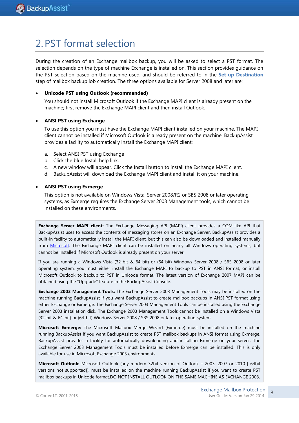## <span id="page-3-0"></span>2. PST format selection

During the creation of an Exchange mailbox backup, you will be asked to select a PST format. The selection depends on the type of machine Exchange is installed on. This section provides guidance on the PST selection based on the machine used, and should be referred to in the **Set up Destination** step of mailbox backup job creation. The three options available for Server 2008 and later are:

### **Unicode PST using Outlook (recommended)**

You should not install Microsoft Outlook if the Exchange MAPI client is already present on the machine; first remove the Exchange MAPI client and then install Outlook.

### **ANSI PST using Exchange**

To use this option you must have the Exchange MAPI client installed on your machine. The MAPI client cannot be installed if Microsoft Outlook is already present on the machine. BackupAssist provides a facility to automatically install the Exchange MAPI client:

- a. Select ANSI PST using Exchange
- b. Click the blue Install help link.
- c. A new window will appear. Click the Install button to install the Exchange MAPI client.
- d. BackupAssist will download the Exchange MAPI client and install it on your machine.

### **ANSI PST using Exmerge**

This option is not available on Windows Vista, Server 2008/R2 or SBS 2008 or later operating systems, as Exmerge requires the Exchange Server 2003 Management tools, which cannot be installed on these environments.

**Exchange Server MAPI client:** The Exchange Messaging API (MAPI) client provides a COM-like API that BackupAssist uses to access the contents of messaging stores on an Exchange Server. BackupAssist provides a built-in facility to automatically install the MAPI client, but this can also be downloaded and installed manually from [Microsoft.](http://www.microsoft.com/downloads/details.aspx?FamilyID=E17E7F31-079A-43A9-BFF2-0A110307611E&displaylang=en) The Exchange MAPI client can be installed on nearly all Windows operating systems, but cannot be installed if Microsoft Outlook is already present on your server.

If you are running a Windows Vista (32-bit & 64-bit) or (64-bit) Windows Server 2008 / SBS 2008 or later operating system, you must either install the Exchange MAPI to backup to PST in ANSI format, or install Microsoft Outlook to backup to PST in Unicode format. The latest version of Exchange 2007 MAPI can be obtained using the "Upgrade" feature in the BackupAssist Console.

**Exchange 2003 Management Tools:** The Exchange Server 2003 Management Tools may be installed on the machine running BackupAssist if you want BackupAssist to create mailbox backups in ANSI PST format using either Exchange or Exmerge. The Exchange Server 2003 Management Tools can be installed using the Exchange Server 2003 installation disk. The Exchange 2003 Management Tools cannot be installed on a Windows Vista (32-bit & 64-bit) or (64-bit) Windows Server 2008 / SBS 2008 or later operating system.

**Microsoft Exmerge:** The Microsoft Mailbox Merge Wizard (Exmerge) must be installed on the machine running BackupAssist if you want BackupAssist to create PST mailbox backups in ANSI format using Exmerge. BackupAssist provides a facility for automatically downloading and installing Exmerge on your server. The Exchange Server 2003 Management Tools must be installed before Exmerge can be installed. This is only available for use in Microsoft Exchange 2003 environments.

**Microsoft Outlook:** Microsoft Outlook (any modern 32bit version of Outlook – 2003, 2007 or 2010 [ 64bit versions not supported]), must be installed on the machine running BackupAssist if you want to create PST mailbox backups in Unicode format.DO NOT INSTALL OUTLOOK ON THE SAME MACHINE AS EXCHANGE 2003.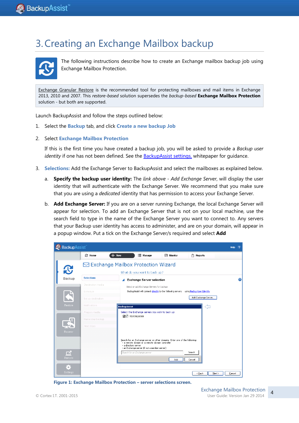# 3.Creating an Exchange Mailbox backup



The following instructions describe how to create an Exchange mailbox backup job using Exchange Mailbox Protection.

[Exchange Granular Restore](http://rick.backupassist.com/education/whitepapers/exchange_server_whitepaper.html) is the recommended tool for protecting mailboxes and mail items in Exchange 2013, 2010 and 2007. This *restore-based* solution supersedes the *backup-based* **Exchange Mailbox Protection** solution - but both are supported.

Launch BackupAssist and follow the steps outlined below:

- 1. Select the **Backup** tab, and click **Create a new backup Job**
- 2. Select **Exchange Mailbox Protection**

If this is the first time you have created a backup job, you will be asked to provide a *Backup user identity* if one has not been defined. See the [BackupAssist settings,](http://rick.backupassist.com/education/whitepapers/backupassist_settings.html) whitepaper for guidance.

- 3. **Selections:** Add the Exchange Server to BackupAssist and select the mailboxes as explained below.
	- a. **Specify the backup user identity:** The *link above - Add Exchange Server*, will display the user identity that will authenticate with the Exchange Server. We recommend that you make sure that you are using a *dedicated* identity that has permission to access your Exchange Server.
	- b. **Add Exchange Server:** If you are on a server running Exchange, the local Exchange Server will appear for selection. To add an Exchange Server that is not on your local machine, use the search field to type in the name of the Exchange Server you want to connect to. Any servers that your Backup user identity has access to administer, and are on your domain, will appear in a popup window. Put a tick on the Exchange Server/s required and select **Add**



**Figure 1: Exchange Mailbox Protection – server selections screen.**

4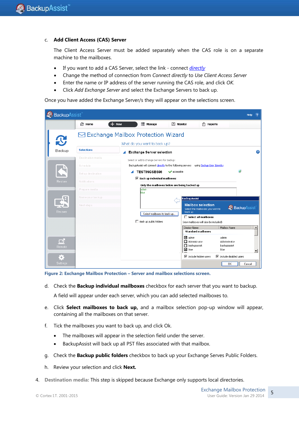### c. **Add Client Access (CAS) Server**

The Client Access Server must be added separately when the CAS role is on a separate machine to the mailboxes.

- If you want to add a CAS Server, select the link connect *directly*
- Change the method of connection from *Connect directly* to *Use Client Access Server*
- Enter the name or IP address of the server running the CAS role, and click *OK.*
- Click *Add Exchange Server* and select the Exchange Servers to back up.

Once you have added the Exchange Server/s they will appear on the selections screen.

| BackupAssist<br>$\overline{2}$<br>Help                            |                                                 |                                                                                                |  |  |  |  |
|-------------------------------------------------------------------|-------------------------------------------------|------------------------------------------------------------------------------------------------|--|--|--|--|
|                                                                   | <b>© Home</b>                                   | $+$ New<br><b>E</b> Manage<br>圕<br>$\overline{M}$ Monitor<br><b>Reports</b>                    |  |  |  |  |
|                                                                   | $\boxdot$ Exchange Mailbox Protection Wizard    |                                                                                                |  |  |  |  |
| What do you want to back up?                                      |                                                 |                                                                                                |  |  |  |  |
| Backup                                                            | $\boxed{2}$<br><b>Exchange Server selection</b> |                                                                                                |  |  |  |  |
| Destination media<br>Select or add Exchange Servers for backup:   |                                                 |                                                                                                |  |  |  |  |
|                                                                   | Schedule                                        | BackupAssist will connect directly to the following servers using Backup User Identity         |  |  |  |  |
|                                                                   | Set up destination                              | $\vert$ $\vert$<br>TESTINGSBS08<br>vaccessible                                                 |  |  |  |  |
| $\nabla$ Back up individual mailboxes<br>Restore<br>Notifications |                                                 |                                                                                                |  |  |  |  |
|                                                                   | Prepare media                                   | Only the mailboxes below are being backed up<br>admin                                          |  |  |  |  |
|                                                                   | Name your backup                                | blue.<br><b>BackupAssist</b>                                                                   |  |  |  |  |
|                                                                   | Next steps                                      | <b>Mailbox selection</b><br><b>Backup</b> Assist                                               |  |  |  |  |
| Recover                                                           |                                                 | Select the mailboxes you wish to<br>back up<br>Select mailboxes to back up                     |  |  |  |  |
|                                                                   |                                                 | $\Box$ Select all mailboxes<br>Back up public folders<br>(new mailboxes will also be included) |  |  |  |  |
|                                                                   |                                                 | Mailbox Name<br>Display Name<br>$\blacktriangle$                                               |  |  |  |  |
|                                                                   |                                                 | <b>Standard mailboxes</b>                                                                      |  |  |  |  |
| $\Box$                                                            |                                                 | <b>☑</b> admin<br>admin<br>Administrator<br>Administrator                                      |  |  |  |  |
| <b>Remote</b>                                                     |                                                 | $\Box$ backupassist<br>backupassist<br>$\boxtimes$ blue<br>blue                                |  |  |  |  |
| $\bullet$                                                         |                                                 | ▼<br>$\nabla$ Include hidden users<br>$\nabla$ Include disabled users                          |  |  |  |  |
| <b>Settings</b>                                                   |                                                 | 0K<br>Cancel                                                                                   |  |  |  |  |



d. Check the **Backup individual mailboxes** checkbox for each server that you want to backup.

A field will appear under each server, which you can add selected mailboxes to.

- e. Click **Select mailboxes to back up,** and a mailbox selection pop-up window will appear, containing all the mailboxes on that server.
- f. Tick the mailboxes you want to back up, and click Ok.
	- The mailboxes will appear in the selection field under the server.
	- BackupAssist will back up all PST files associated with that mailbox.
- g. Check the **Backup public folders** checkbox to back up your Exchange Serves Public Folders.
- h. Review your selection and click **Next.**
- 4. **Destination media:** This step is skipped because Exchange only supports local directories.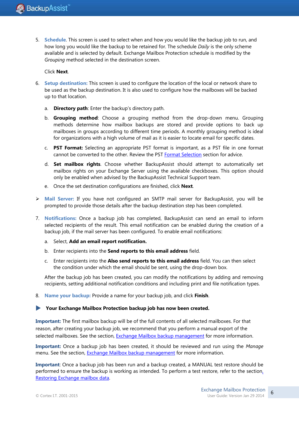5. **Schedule**. This screen is used to select when and how you would like the backup job to run, and how long you would like the backup to be retained for. The schedule *Daily* is the only scheme available and is selected by default. Exchange Mailbox Protection schedule is modified by the *Grouping* method selected in the destination screen.

### Click **Next**.

- 6. **Setup destination:** This screen is used to configure the location of the local or network share to be used as the backup destination. It is also used to configure how the mailboxes will be backed up to that location.
	- a. **Directory path**: Enter the backup's directory path.
	- b. **Grouping method**: Choose a grouping method from the drop-down menu. Grouping methods determine how mailbox backups are stored and provide options to back up mailboxes in groups according to different time periods. A monthly grouping method is ideal for organizations with a high volume of mail as it is easier to locate email for specific dates.
	- c. **PST Format:** Selecting an appropriate PST format is important, as a PST file in one format cannot be converted to the other. Review the PST [Format Selection](#page-3-0) section for advice.
	- d. **Set mailbox rights**. Choose whether BackupAssist should attempt to automatically set mailbox rights on your Exchange Server using the available checkboxes. This option should only be enabled when advised by the BackupAssist Technical Support team.
	- e. Once the set destination configurations are finished, click **Next**.
- **Mail Server:** If you have not configured an SMTP mail server for BackupAssist, you will be prompted to provide those details after the backup destination step has been completed.
- 7. **Notifications:** Once a backup job has completed, BackupAssist can send an email to inform selected recipients of the result. This email notification can be enabled during the creation of a backup job, if the mail server has been configured. To enable email notifications:
	- a. Select, **Add an email report notification.**
	- b. Enter recipients into the **Send reports to this email address** field.
	- c. Enter recipients into the **Also send reports to this email address** field. You can then select the condition under which the email should be sent, using the drop-down box.

After the backup job has been created, you can modify the notifications by adding and removing recipients, setting additional notification conditions and including print and file notification types.

8. **Name your backup:** Provide a name for your backup job, and click **Finish**.

### **Your Exchange Mailbox Protection backup job has now been created.**

**Important:** The first mailbox backup will be of the full contents of all selected mailboxes. For that reason, after creating your backup job, we recommend that you perform a manual export of the selected mailboxes. See the section, [Exchange Mailbox backup management](#page-11-0) for more information.

**Important:** Once a backup job has been created, it should be reviewed and run using the *Manage* menu. See the section, **Exchange Mailbox backup management** for more information.

**Important**: Once a backup job has been run and a backup created, a MANUAL test restore should be performed to ensure the backup is working as intended. To perform a test restore, refer to the sectio[n,](#page-7-0)  [Restoring Exchange mailbox data.](#page-7-0)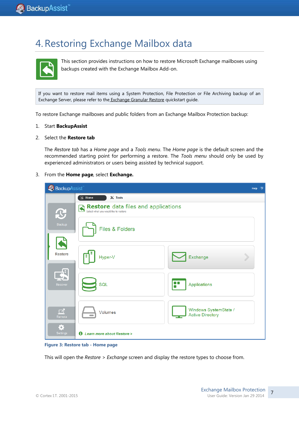# <span id="page-7-0"></span>4.Restoring Exchange Mailbox data



This section provides instructions on how to restore Microsoft Exchange mailboxes using backups created with the Exchange Mailbox Add-on.

If you want to restore mail items using a System Protection, File Protection or File Archiving backup of an Exchange Server, please refer to the [Exchange Granular Restore](http://www.backupassist.com/education/whitepapers/exchange_server_whitepaper.html) quickstart guide.

To restore Exchange mailboxes and public folders from an Exchange Mailbox Protection backup:

- 1. Start **BackupAssist**
- 2. Select the **Restore tab**

The *Restore tab* has a *Home page* and a *Tools menu*. The *Home page* is the default screen and the recommended starting point for performing a restore. The *Tools menu* should only be used by experienced administrators or users being assisted by technical support.

#### 3. From the **Home page**, select **Exchange.**

| BackupAssist<br>Help<br>$\overline{\phantom{a}}$ |                                              |                                                  |  |  |  |
|--------------------------------------------------|----------------------------------------------|--------------------------------------------------|--|--|--|
|                                                  | $\blacksquare$<br>$\mathbb{X}$ Tools<br>Home |                                                  |  |  |  |
| $\mathbf C$                                      | <b>Restore</b> data files and applications   |                                                  |  |  |  |
| Backup                                           | Files & Folders                              |                                                  |  |  |  |
| <b>Restore</b>                                   | Hyper-V                                      | Exchange                                         |  |  |  |
| Æ<br>Recover                                     | SQL                                          | F<br>Applications                                |  |  |  |
| $\Box$<br>Remote                                 | Volumes                                      | Windows SystemState /<br><b>Active Directory</b> |  |  |  |
| ♦,<br>Settings                                   | <b>1</b> Learn more about Restore >          |                                                  |  |  |  |

**Figure 3: Restore tab - Home page**

This will open the *Restore > Exchange* screen and display the restore types to choose from.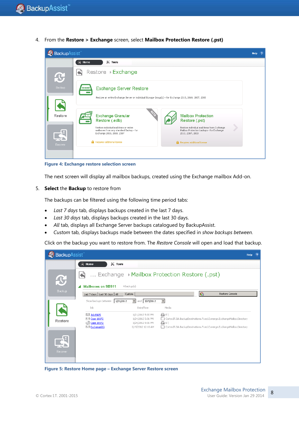4. From the **Restore > Exchange** screen, select **Mailbox Protection Restore (.pst)**



**Figure 4: Exchange restore selection screen**

The next screen will display all mailbox backups, created using the Exchange mailbox Add-on.

#### 5. **Select** the **Backup** to restore from

The backups can be filtered using the following time period tabs:

- *Last 7 days* tab, displays backups created in the last 7 days.
- *Last 30 days* tab, displays backups created in the last 30 days.
- *All* tab, displays all Exchange Server backups catalogued by BackupAssist.
- *Custom* tab, displays backups made between the dates specified in *show backups between.*

Click on the backup you want to restore from. The *Restore Console* will open and load that backup.

| BackupAssist<br>Help<br>$\overline{2}$ |                                            |                                        |                 |                 |                                                                       |  |
|----------------------------------------|--------------------------------------------|----------------------------------------|-----------------|-----------------|-----------------------------------------------------------------------|--|
|                                        | $\mathbb{X}$ Tools<br>Home<br>R            |                                        |                 |                 |                                                                       |  |
| $\mathbf{P}$                           | Exchange Mailbox Protection Restore (.pst) |                                        |                 |                 |                                                                       |  |
|                                        | <b>Mailboxes on SBS11</b>                  | 4 backup(s)                            |                 |                 |                                                                       |  |
| Backup                                 | Last 7 days   Last 30 days   All<br>Custom |                                        |                 | $\mathcal{C}_1$ | Restore Console                                                       |  |
|                                        | Show backups between<br>1/21/2012          | and 3/15/2012                          | $\blacksquare$  |                 |                                                                       |  |
|                                        | Job                                        | Date/Time                              | Media           |                 |                                                                       |  |
|                                        | $\boxdot$ Job MAPI<br><b>S</b> Case 10372  | 1/21/2012 5:00 PM<br>1/24/2012 5:01 PM | 日日              |                 | CortexIT.BA.BackupDestinations.Fixed.Exmerge.ExchangeMailboxDirectory |  |
| Restore                                | C Case 10372                               | 1/24/2012 5:01 PM                      | $\bigoplus$ Ei) |                 |                                                                       |  |
|                                        | $\boxdot$ Exchange(1)                      | 3/15/2012 12:13 AM                     |                 |                 | CortexIT.BA.BackupDestinations.Fixed.Exmerge.ExchangeMailboxDirectory |  |
| Recover                                |                                            |                                        |                 |                 |                                                                       |  |

**Figure 5: Restore Home page – Exchange Server Restore screen**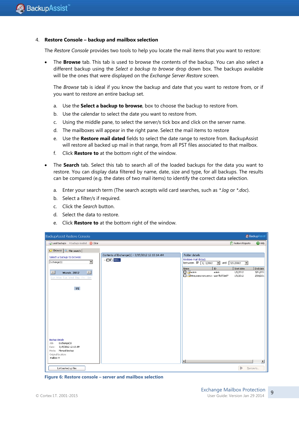#### 4. **Restore Console – backup and mailbox selection**

The *Restore Console* provides two tools to help you locate the mail items that you want to restore:

 The **Browse** tab. This tab is used to browse the contents of the backup. You can also select a different backup using the *Select a backup to browse* drop down box. The backups available will be the ones that were displayed on the *Exchange Server Restore* screen.

The *Browse* tab is ideal if you know the backup and date that you want to restore from, or if you want to restore an entire backup set.

- a. Use the **Select a backup to browse**, box to choose the backup to restore from.
- b. Use the calendar to select the date you want to restore from.
- c. Using the middle pane, to select the server/s tick box and click on the server name.
- d. The mailboxes will appear in the right pane. Select the mail items to restore
- e. Use the **Restore mail dated** fields to select the date range to restore from. BackupAssist will restore all backed up mail in that range, from all PST files associated to that mailbox.
- f. Click **Restore to** at the bottom right of the window.
- The **Search** tab. Select this tab to search all of the loaded backups for the data you want to restore. You can display data filtered by name, date, size and type, for all backups. The results can be compared (e.g. the dates of two mail items) to identify the correct data selection.
	- a. Enter your search term (The search accepts wild card searches, such as *\*.log* or *\*.doc*).
	- b. Select a filter/s if required.
	- c. Click the *Search* button.
	- d. Select the data to restore.
	- e. Click **Restore to** at the bottom right of the window.

| BackupAssist<br>BackupAssist Restore Console             |                                                                                        |                                                      |                                            |                       |  |  |
|----------------------------------------------------------|----------------------------------------------------------------------------------------|------------------------------------------------------|--------------------------------------------|-----------------------|--|--|
| Clear (X) Clear                                          |                                                                                        |                                                      | $\left \frac{1}{x}\right $ Restore Reports | <sup>2</sup> Help     |  |  |
| <b>Browse</b> $\sqrt{Q}$ File search                     |                                                                                        |                                                      |                                            |                       |  |  |
| Select a backup to browse:                               | Contents of Exchange(1) - 3/15/2012 12:13:14 AM<br>$\blacksquare$ $\blacksquare$ 5B511 | Folder details<br>Restore mail dated:                |                                            |                       |  |  |
| $\overline{\phantom{a}}$<br>Exchange(1)                  |                                                                                        | between $\boxed{9}$ 1/ 1/2012<br>$\vert \cdot \vert$ | and $3/11/2012$<br>$\vert \cdot \vert$     |                       |  |  |
| $\boxed{\triangleright}$<br>$\Box$<br><b>March, 2012</b> |                                                                                        | ${\rm ID}$<br>Name<br>admin<br>admin                 | Start date<br>1/1/2012                     | End date<br>3/11/201  |  |  |
| Sun Mon Tue Wed Thu Fri Sat                              |                                                                                        | Имяужеисползуется user7b372e97                       | 1/1/2012                                   | 2/18/201:             |  |  |
|                                                          |                                                                                        |                                                      |                                            |                       |  |  |
| 15                                                       |                                                                                        |                                                      |                                            |                       |  |  |
|                                                          |                                                                                        |                                                      |                                            |                       |  |  |
|                                                          |                                                                                        |                                                      |                                            |                       |  |  |
|                                                          |                                                                                        |                                                      |                                            |                       |  |  |
|                                                          |                                                                                        |                                                      |                                            |                       |  |  |
|                                                          |                                                                                        |                                                      |                                            |                       |  |  |
|                                                          |                                                                                        |                                                      |                                            |                       |  |  |
|                                                          |                                                                                        |                                                      |                                            |                       |  |  |
| Backup details<br>Exchange(1)<br>Job:                    |                                                                                        |                                                      |                                            |                       |  |  |
| 3/15/2012 12:13 AM<br>Date:<br>Media: Manual backup      |                                                                                        |                                                      |                                            |                       |  |  |
| Original location:<br>mailbox 9                          |                                                                                        |                                                      |                                            |                       |  |  |
|                                                          |                                                                                        | $\left  \cdot \right $                               |                                            | $\blacktriangleright$ |  |  |
| List backed up files                                     |                                                                                        |                                                      | Þ                                          | Restore to            |  |  |

**Figure 6: Restore console – server and mailbox selection**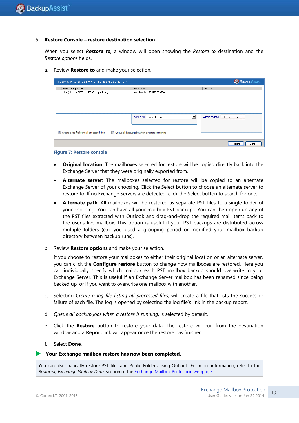#### 5. **Restore Console – restore destination selection**

When you select *Restore to,* a window will open showing the *Restore to* destination and the *Restore options* fields.

a. Review **Restore to** and make your selection.

| You are about to restore the following files and applications                                      | <b>Backup</b> Assist           |                                       |  |  |  |
|----------------------------------------------------------------------------------------------------|--------------------------------|---------------------------------------|--|--|--|
| From backup location                                                                               | Restore to                     | Progress                              |  |  |  |
| blue (blue) on TESTINGSBS08 - 2 pst file(s)                                                        | blue (blue) on TESTINGSBS08    |                                       |  |  |  |
|                                                                                                    | Restore to: Original location: | Restore options:<br>Configure restore |  |  |  |
| Create a log file listing all processed files<br>V Queue all backup jobs when a restore is running |                                |                                       |  |  |  |
|                                                                                                    |                                | Restore<br>Cancel                     |  |  |  |



- **Original location**: The mailboxes selected for restore will be copied directly back into the Exchange Server that they were originally exported from.
- **Alternate server**: The mailboxes selected for restore will be copied to an alternate Exchange Server of your choosing. Click the Select button to choose an alternate server to restore to. If no Exchange Servers are detected, click the Select button to search for one.
- **Alternate path**: All mailboxes will be restored as separate PST files to a single folder of your choosing. You can have all your mailbox PST backups. You can then open up any of the PST files extracted with Outlook and drag-and-drop the required mail items back to the user's live mailbox. This option is useful if your PST backups are distributed across multiple folders (e.g. you used a grouping period or modified your mailbox backup directory between backup runs).
- b. Review **Restore options** and make your selection.

If you choose to restore your mailboxes to either their original location or an alternate server, you can click the **Configure restore** button to change how mailboxes are restored. Here you can individually specify which mailbox each PST mailbox backup should overwrite in your Exchange Server. This is useful if an Exchange Server mailbox has been renamed since being backed up, or if you want to overwrite one mailbox with another.

- c. Selecting *Create a log file listing all processed files*, will create a file that lists the success or failure of each file. The log is opened by selecting the log file's link in the backup report.
- d. *Queue all backup jobs when a restore is running*, is selected by default.
- e. Click the **Restore** button to restore your data. The restore will run from the destination window and a **Report** link will appear once the restore has finished.
- f. Select **Done**.

#### **Your Exchange mailbox restore has now been completed.**

You can also manually restore PST files and Public Folders using Outlook. For more information, refer to the *Restoring Exchange Mailbox Data*, section of the [Exchange Mailbox Protection webpage.](http://www.backupassist.com/education/whitepapers/exchange_mailbox_whitepaper.html)